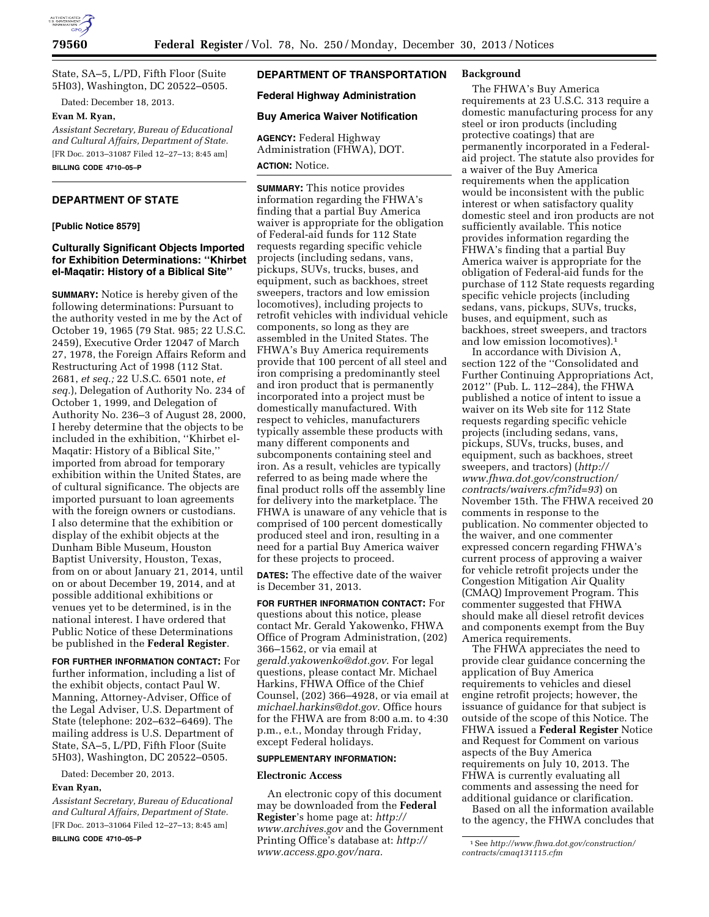

State, SA–5, L/PD, Fifth Floor (Suite 5H03), Washington, DC 20522–0505.

Dated: December 18, 2013.

#### **Evan M. Ryan,**

*Assistant Secretary, Bureau of Educational and Cultural Affairs, Department of State.*  [FR Doc. 2013–31087 Filed 12–27–13; 8:45 am] **BILLING CODE 4710–05–P** 

## **DEPARTMENT OF STATE**

### **[Public Notice 8579]**

## **Culturally Significant Objects Imported for Exhibition Determinations: ''Khirbet el-Maqatir: History of a Biblical Site''**

**SUMMARY:** Notice is hereby given of the following determinations: Pursuant to the authority vested in me by the Act of October 19, 1965 (79 Stat. 985; 22 U.S.C. 2459), Executive Order 12047 of March 27, 1978, the Foreign Affairs Reform and Restructuring Act of 1998 (112 Stat. 2681, *et seq.;* 22 U.S.C. 6501 note, *et seq.*), Delegation of Authority No. 234 of October 1, 1999, and Delegation of Authority No. 236–3 of August 28, 2000, I hereby determine that the objects to be included in the exhibition, ''Khirbet el-Maqatir: History of a Biblical Site,'' imported from abroad for temporary exhibition within the United States, are of cultural significance. The objects are imported pursuant to loan agreements with the foreign owners or custodians. I also determine that the exhibition or display of the exhibit objects at the Dunham Bible Museum, Houston Baptist University, Houston, Texas, from on or about January 21, 2014, until on or about December 19, 2014, and at possible additional exhibitions or venues yet to be determined, is in the national interest. I have ordered that Public Notice of these Determinations be published in the **Federal Register**.

**FOR FURTHER INFORMATION CONTACT:** For

further information, including a list of the exhibit objects, contact Paul W. Manning, Attorney-Adviser, Office of the Legal Adviser, U.S. Department of State (telephone: 202–632–6469). The mailing address is U.S. Department of State, SA–5, L/PD, Fifth Floor (Suite 5H03), Washington, DC 20522–0505.

Dated: December 20, 2013.

### **Evan Ryan,**

*Assistant Secretary, Bureau of Educational and Cultural Affairs, Department of State.*  [FR Doc. 2013–31064 Filed 12–27–13; 8:45 am]

**BILLING CODE 4710–05–P** 

# **DEPARTMENT OF TRANSPORTATION**

### **Federal Highway Administration**

#### **Buy America Waiver Notification**

**AGENCY:** Federal Highway Administration (FHWA), DOT.

## **ACTION:** Notice.

**SUMMARY:** This notice provides information regarding the FHWA's finding that a partial Buy America waiver is appropriate for the obligation of Federal-aid funds for 112 State requests regarding specific vehicle projects (including sedans, vans, pickups, SUVs, trucks, buses, and equipment, such as backhoes, street sweepers, tractors and low emission locomotives), including projects to retrofit vehicles with individual vehicle components, so long as they are assembled in the United States. The FHWA's Buy America requirements provide that 100 percent of all steel and iron comprising a predominantly steel and iron product that is permanently incorporated into a project must be domestically manufactured. With respect to vehicles, manufacturers typically assemble these products with many different components and subcomponents containing steel and iron. As a result, vehicles are typically referred to as being made where the final product rolls off the assembly line for delivery into the marketplace. The FHWA is unaware of any vehicle that is comprised of 100 percent domestically produced steel and iron, resulting in a need for a partial Buy America waiver for these projects to proceed.

**DATES:** The effective date of the waiver is December 31, 2013.

**FOR FURTHER INFORMATION CONTACT:** For questions about this notice, please contact Mr. Gerald Yakowenko, FHWA Office of Program Administration, (202) 366–1562, or via email at *[gerald.yakowenko@dot.gov](mailto:gerald.yakowenko@dot.gov)*. For legal questions, please contact Mr. Michael Harkins, FHWA Office of the Chief Counsel, (202) 366–4928, or via email at *[michael.harkins@dot.gov](mailto:michael.harkins@dot.gov)*. Office hours for the FHWA are from 8:00 a.m. to 4:30 p.m., e.t., Monday through Friday, except Federal holidays.

### **SUPPLEMENTARY INFORMATION:**

#### **Electronic Access**

An electronic copy of this document may be downloaded from the **Federal Register**'s home page at: *[http://](http://www.archives.gov)  [www.archives.gov](http://www.archives.gov)* and the Government Printing Office's database at: *[http://](http://www.access.gpo.gov/nara)  [www.access.gpo.gov/nara.](http://www.access.gpo.gov/nara)* 

## **Background**

The FHWA's Buy America requirements at 23 U.S.C. 313 require a domestic manufacturing process for any steel or iron products (including protective coatings) that are permanently incorporated in a Federalaid project. The statute also provides for a waiver of the Buy America requirements when the application would be inconsistent with the public interest or when satisfactory quality domestic steel and iron products are not sufficiently available. This notice provides information regarding the FHWA's finding that a partial Buy America waiver is appropriate for the obligation of Federal-aid funds for the purchase of 112 State requests regarding specific vehicle projects (including sedans, vans, pickups, SUVs, trucks, buses, and equipment, such as backhoes, street sweepers, and tractors and low emission locomotives).1

In accordance with Division A, section 122 of the ''Consolidated and Further Continuing Appropriations Act, 2012'' (Pub. L. 112–284), the FHWA published a notice of intent to issue a waiver on its Web site for 112 State requests regarding specific vehicle projects (including sedans, vans, pickups, SUVs, trucks, buses, and equipment, such as backhoes, street sweepers, and tractors) (*[http://](http://www.fhwa.dot.gov/construction/contracts/waivers.cfm?id=93)  [www.fhwa.dot.gov/construction/](http://www.fhwa.dot.gov/construction/contracts/waivers.cfm?id=93)  [contracts/waivers.cfm?id=93](http://www.fhwa.dot.gov/construction/contracts/waivers.cfm?id=93)*) on November 15th. The FHWA received 20 comments in response to the publication. No commenter objected to the waiver, and one commenter expressed concern regarding FHWA's current process of approving a waiver for vehicle retrofit projects under the Congestion Mitigation Air Quality (CMAQ) Improvement Program. This commenter suggested that FHWA should make all diesel retrofit devices and components exempt from the Buy America requirements.

The FHWA appreciates the need to provide clear guidance concerning the application of Buy America requirements to vehicles and diesel engine retrofit projects; however, the issuance of guidance for that subject is outside of the scope of this Notice. The FHWA issued a **Federal Register** Notice and Request for Comment on various aspects of the Buy America requirements on July 10, 2013. The FHWA is currently evaluating all comments and assessing the need for additional guidance or clarification.

Based on all the information available to the agency, the FHWA concludes that

<sup>1</sup>See *[http://www.fhwa.dot.gov/construction/](http://www.fhwa.dot.gov/construction/contracts/cmaq131115.cfm)  [contracts/cmaq131115.cfm](http://www.fhwa.dot.gov/construction/contracts/cmaq131115.cfm)*